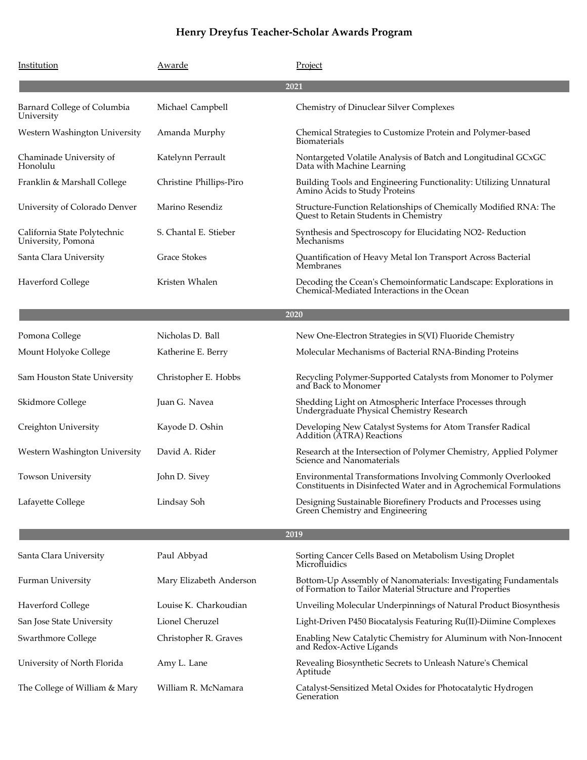| Institution                                        | Awarde                  | Project                                                                                                                           |  |
|----------------------------------------------------|-------------------------|-----------------------------------------------------------------------------------------------------------------------------------|--|
|                                                    |                         | 2021                                                                                                                              |  |
| Barnard College of Columbia<br>University          | Michael Campbell        | Chemistry of Dinuclear Silver Complexes                                                                                           |  |
| Western Washington University                      | Amanda Murphy           | Chemical Strategies to Customize Protein and Polymer-based<br><b>Biomaterials</b>                                                 |  |
| Chaminade University of<br>Honolulu                | Katelynn Perrault       | Nontargeted Volatile Analysis of Batch and Longitudinal GCxGC<br>Data with Machine Learning                                       |  |
| Franklin & Marshall College                        | Christine Phillips-Piro | Building Tools and Engineering Functionality: Utilizing Unnatural<br>Amino Acids to Study Proteins                                |  |
| University of Colorado Denver                      | Marino Resendiz         | Structure-Function Relationships of Chemically Modified RNA: The<br>Quest to Retain Students in Chemistry                         |  |
| California State Polytechnic<br>University, Pomona | S. Chantal E. Stieber   | Synthesis and Spectroscopy for Elucidating NO2- Reduction<br>Mechanisms                                                           |  |
| Santa Clara University                             | <b>Grace Stokes</b>     | Quantification of Heavy Metal Ion Transport Across Bacterial<br>Membranes                                                         |  |
| <b>Haverford College</b>                           | Kristen Whalen          | Decoding the Ccean's Chemoinformatic Landscape: Explorations in<br>Chemical-Mediated Interactions in the Ocean                    |  |
| 2020                                               |                         |                                                                                                                                   |  |
| Pomona College                                     | Nicholas D. Ball        | New One-Electron Strategies in S(VI) Fluoride Chemistry                                                                           |  |
| Mount Holyoke College                              | Katherine E. Berry      | Molecular Mechanisms of Bacterial RNA-Binding Proteins                                                                            |  |
| Sam Houston State University                       | Christopher E. Hobbs    | Recycling Polymer-Supported Catalysts from Monomer to Polymer<br>and Back to Monomer                                              |  |
| Skidmore College                                   | Juan G. Navea           | Shedding Light on Atmospheric Interface Processes through<br>Undergraduate Physical Chemistry Research                            |  |
| Creighton University                               | Kayode D. Oshin         | Developing New Catalyst Systems for Atom Transfer Radical<br>Addition (ATRA) Reactions                                            |  |
| Western Washington University                      | David A. Rider          | Research at the Intersection of Polymer Chemistry, Applied Polymer<br>Science and Nanomaterials                                   |  |
| <b>Towson University</b>                           | John D. Sivey           | Environmental Transformations Involving Commonly Overlooked<br>Constituents in Disinfected Water and in Agrochemical Formulations |  |
| Lafayette College                                  | Lindsay Soh             | Designing Sustainable Biorefinery Products and Processes using<br>Green Chemistry and Engineering                                 |  |
| 2019                                               |                         |                                                                                                                                   |  |
| Santa Clara University                             | Paul Abbyad             | Sorting Cancer Cells Based on Metabolism Using Droplet<br>Microfluidics                                                           |  |
| <b>Furman University</b>                           | Mary Elizabeth Anderson | Bottom-Up Assembly of Nanomaterials: Investigating Fundamentals<br>of Formation to Tailor Material Structure and Properties       |  |
| <b>Haverford College</b>                           | Louise K. Charkoudian   | Unveiling Molecular Underpinnings of Natural Product Biosynthesis                                                                 |  |
| San Jose State University                          | Lionel Cheruzel         | Light-Driven P450 Biocatalysis Featuring Ru(II)-Diimine Complexes                                                                 |  |
| Swarthmore College                                 | Christopher R. Graves   | Enabling New Catalytic Chemistry for Aluminum with Non-Innocent<br>and Redox-Active Ligands                                       |  |
| University of North Florida                        | Amy L. Lane             | Revealing Biosynthetic Secrets to Unleash Nature's Chemical<br>Aptitude                                                           |  |
| The College of William & Mary                      | William R. McNamara     | Catalyst-Sensitized Metal Oxides for Photocatalytic Hydrogen<br>Generation                                                        |  |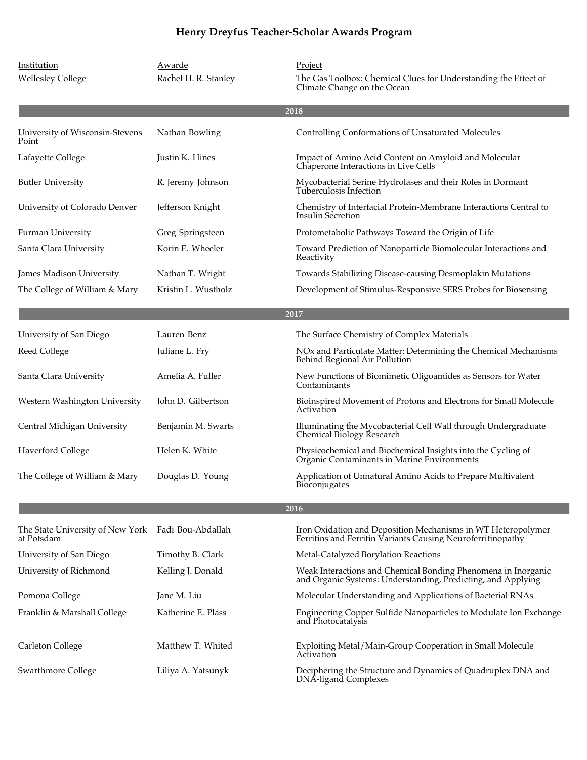| Institution                                    | Awarde               | Project                                                                                                                       |
|------------------------------------------------|----------------------|-------------------------------------------------------------------------------------------------------------------------------|
| <b>Wellesley College</b>                       | Rachel H. R. Stanley | The Gas Toolbox: Chemical Clues for Understanding the Effect of<br>Climate Change on the Ocean                                |
|                                                |                      | 2018                                                                                                                          |
| University of Wisconsin-Stevens<br>Point       | Nathan Bowling       | Controlling Conformations of Unsaturated Molecules                                                                            |
| Lafayette College                              | Justin K. Hines      | Impact of Amino Acid Content on Amyloid and Molecular<br>Chaperone Interactions in Live Cells                                 |
| Butler University                              | R. Jeremy Johnson    | Mycobacterial Serine Hydrolases and their Roles in Dormant<br>Tuberculosis Infection                                          |
| University of Colorado Denver                  | Jefferson Knight     | Chemistry of Interfacial Protein-Membrane Interactions Central to<br>Insulin Secretion                                        |
| Furman University                              | Greg Springsteen     | Protometabolic Pathways Toward the Origin of Life                                                                             |
| Santa Clara University                         | Korin E. Wheeler     | Toward Prediction of Nanoparticle Biomolecular Interactions and<br>Reactivity                                                 |
| James Madison University                       | Nathan T. Wright     | Towards Stabilizing Disease-causing Desmoplakin Mutations                                                                     |
| The College of William & Mary                  | Kristin L. Wustholz  | Development of Stimulus-Responsive SERS Probes for Biosensing                                                                 |
|                                                |                      | 2017                                                                                                                          |
| University of San Diego                        | Lauren Benz          | The Surface Chemistry of Complex Materials                                                                                    |
| Reed College                                   | Juliane L. Fry       | NO <sub>x</sub> and Particulate Matter: Determining the Chemical Mechanisms<br>Behind Regional Air Pollution                  |
| Santa Clara University                         | Amelia A. Fuller     | New Functions of Biomimetic Oligoamides as Sensors for Water<br>Contaminants                                                  |
| Western Washington University                  | John D. Gilbertson   | Bioinspired Movement of Protons and Electrons for Small Molecule<br>Activation                                                |
| Central Michigan University                    | Benjamin M. Swarts   | Illuminating the Mycobacterial Cell Wall through Undergraduate<br>Chemical Biology Research                                   |
| <b>Haverford College</b>                       | Helen K. White       | Physicochemical and Biochemical Insights into the Cycling of<br>Organic Contaminants in Marine Environments                   |
| The College of William & Mary                  | Douglas D. Young     | Application of Unnatural Amino Acids to Prepare Multivalent<br>Bioconjugates                                                  |
|                                                |                      | 2016                                                                                                                          |
| The State University of New York<br>at Potsdam | Fadi Bou-Abdallah    | Iron Oxidation and Deposition Mechanisms in WT Heteropolymer<br>Ferritins and Ferritin Variants Causing Neuroferritinopathy   |
| University of San Diego                        | Timothy B. Clark     | Metal-Catalyzed Borylation Reactions                                                                                          |
| University of Richmond                         | Kelling J. Donald    | Weak Interactions and Chemical Bonding Phenomena in Inorganic<br>and Organic Systems: Understanding, Predicting, and Applying |

Katherine E. Plass

Matthew T. Whited

Liliya A. Yatsunyk

Pomona College Jane M. Liu Jane M. Liu Molecular Understanding and Applications of Bacterial RNAs

Franklin & Marshall College Engineering Copper Sulfide Nanoparticles to Modulate Ion Exchange and Photocatalysis

Carleton College The Matthew T. Whited Exploiting Metal/Main-Group Cooperation in Small Molecule Activation

Swarthmore College Deciphering the Structure and Dynamics of Quadruplex DNA and DNA-ligand Complexes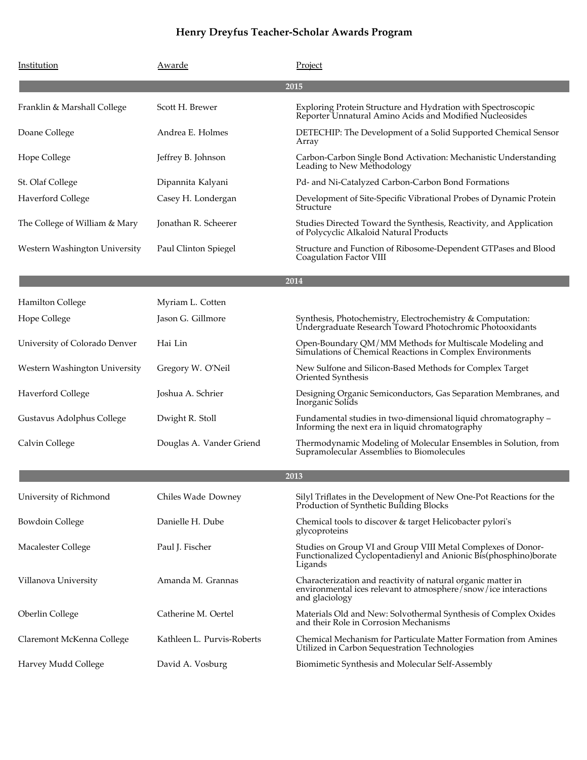| Institution                   | Awarde                     | Project                                                                                                                                           |
|-------------------------------|----------------------------|---------------------------------------------------------------------------------------------------------------------------------------------------|
|                               |                            | 2015                                                                                                                                              |
| Franklin & Marshall College   | Scott H. Brewer            | Exploring Protein Structure and Hydration with Spectroscopic<br>Reporter Unnatural Amino Acids and Modified Nucleosides                           |
| Doane College                 | Andrea E. Holmes           | DETECHIP: The Development of a Solid Supported Chemical Sensor<br>Array                                                                           |
| Hope College                  | Jeffrey B. Johnson         | Carbon-Carbon Single Bond Activation: Mechanistic Understanding<br>Leading to New Methodology                                                     |
| St. Olaf College              | Dipannita Kalyani          | Pd- and Ni-Catalyzed Carbon-Carbon Bond Formations                                                                                                |
| <b>Haverford College</b>      | Casey H. Londergan         | Development of Site-Specific Vibrational Probes of Dynamic Protein<br>Structure                                                                   |
| The College of William & Mary | Jonathan R. Scheerer       | Studies Directed Toward the Synthesis, Reactivity, and Application<br>of Polycyclic Alkaloid Natural Products                                     |
| Western Washington University | Paul Clinton Spiegel       | Structure and Function of Ribosome-Dependent GTPases and Blood<br>Coagulation Factor VIII                                                         |
| 2014                          |                            |                                                                                                                                                   |
| <b>Hamilton College</b>       | Myriam L. Cotten           |                                                                                                                                                   |
| Hope College                  | Jason G. Gillmore          | Synthesis, Photochemistry, Electrochemistry & Computation:<br>Undergraduate Research Toward Photochromic Photooxidants                            |
| University of Colorado Denver | Hai Lin                    | Open-Boundary QM/MM Methods for Multiscale Modeling and<br>Simulations of Chemical Reactions in Complex Environments                              |
| Western Washington University | Gregory W. O'Neil          | New Sulfone and Silicon-Based Methods for Complex Target<br>Oriented Synthesis                                                                    |
| <b>Haverford College</b>      | Joshua A. Schrier          | Designing Organic Semiconductors, Gas Separation Membranes, and<br>Inorganic Solids                                                               |
| Gustavus Adolphus College     | Dwight R. Stoll            | Fundamental studies in two-dimensional liquid chromatography –<br>Informing the next era in liquid chromatography                                 |
| Calvin College                | Douglas A. Vander Griend   | Thermodynamic Modeling of Molecular Ensembles in Solution, from<br>Supramolecular Assemblies to Biomolecules                                      |
|                               |                            | 2013                                                                                                                                              |
| University of Richmond        | Chiles Wade Downey         | Silyl Triflates in the Development of New One-Pot Reactions for the<br>Production of Synthetic Building Blocks                                    |
| <b>Bowdoin College</b>        | Danielle H. Dube           | Chemical tools to discover & target Helicobacter pylori's<br>glycoproteins                                                                        |
| Macalester College            | Paul J. Fischer            | Studies on Group VI and Group VIII Metal Complexes of Donor-<br>Functionalized Cyclopentadienyl and Anionic Bis(phosphino)borate<br>Ligands       |
| Villanova University          | Amanda M. Grannas          | Characterization and reactivity of natural organic matter in<br>environmental ices relevant to atmosphere/snow/ice interactions<br>and glaciology |
| Oberlin College               | Catherine M. Oertel        | Materials Old and New: Solvothermal Synthesis of Complex Oxides<br>and their Role in Corrosion Mechanisms                                         |
| Claremont McKenna College     | Kathleen L. Purvis-Roberts | Chemical Mechanism for Particulate Matter Formation from Amines<br>Utilized in Carbon Sequestration Technologies                                  |
| Harvey Mudd College           | David A. Vosburg           | Biomimetic Synthesis and Molecular Self-Assembly                                                                                                  |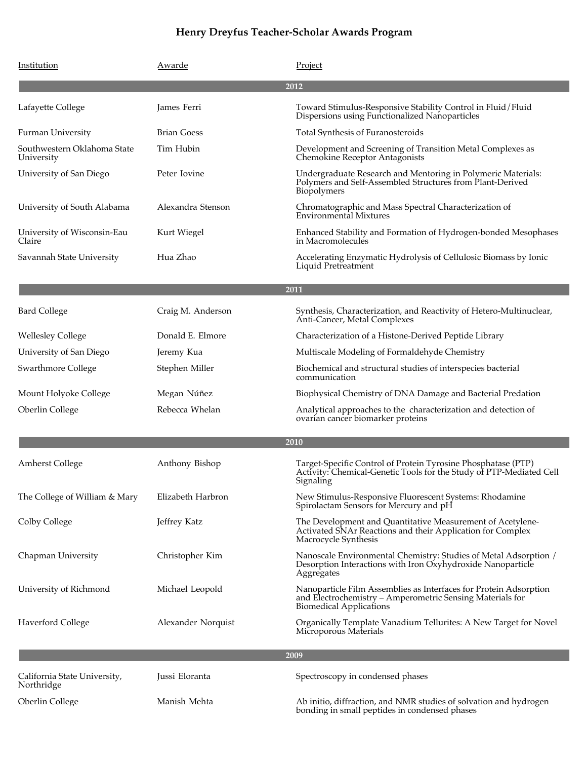| Institution                                | Awarde             | Project                                                                                                                                                          |  |
|--------------------------------------------|--------------------|------------------------------------------------------------------------------------------------------------------------------------------------------------------|--|
|                                            |                    | 2012                                                                                                                                                             |  |
| Lafayette College                          | James Ferri        | Toward Stimulus-Responsive Stability Control in Fluid/Fluid<br>Dispersions using Functionalized Nanoparticles                                                    |  |
| Furman University                          | <b>Brian Goess</b> | Total Synthesis of Furanosteroids                                                                                                                                |  |
| Southwestern Oklahoma State<br>University  | Tim Hubin          | Development and Screening of Transition Metal Complexes as<br>Chemokine Receptor Antagonists                                                                     |  |
| University of San Diego                    | Peter Iovine       | Undergraduate Research and Mentoring in Polymeric Materials:<br>Polymers and Self-Assembled Structures from Plant-Derived<br>Biopolymers                         |  |
| University of South Alabama                | Alexandra Stenson  | Chromatographic and Mass Spectral Characterization of<br>Environmental Mixtures                                                                                  |  |
| University of Wisconsin-Eau<br>Claire      | Kurt Wiegel        | Enhanced Stability and Formation of Hydrogen-bonded Mesophases<br>in Macromolecules                                                                              |  |
| Savannah State University                  | Hua Zhao           | Accelerating Enzymatic Hydrolysis of Cellulosic Biomass by Ionic<br>Liquid Pretreatment                                                                          |  |
|                                            |                    | 2011                                                                                                                                                             |  |
| <b>Bard College</b>                        | Craig M. Anderson  | Synthesis, Characterization, and Reactivity of Hetero-Multinuclear,<br>Anti-Cancer, Metal Complexes                                                              |  |
| <b>Wellesley College</b>                   | Donald E. Elmore   | Characterization of a Histone-Derived Peptide Library                                                                                                            |  |
| University of San Diego                    | Jeremy Kua         | Multiscale Modeling of Formaldehyde Chemistry                                                                                                                    |  |
| Swarthmore College                         | Stephen Miller     | Biochemical and structural studies of interspecies bacterial<br>communication                                                                                    |  |
| Mount Holyoke College                      | Megan Núñez        | Biophysical Chemistry of DNA Damage and Bacterial Predation                                                                                                      |  |
| <b>Oberlin College</b>                     | Rebecca Whelan     | Analytical approaches to the characterization and detection of<br>ovarian cancer biomarker proteins                                                              |  |
| 2010                                       |                    |                                                                                                                                                                  |  |
| <b>Amherst College</b>                     | Anthony Bishop     | Target-Specific Control of Protein Tyrosine Phosphatase (PTP)<br>Activity: Chemical-Genetic Tools for the Study of PTP-Mediated Cell<br>Signaling                |  |
| The College of William & Mary              | Elizabeth Harbron  | New Stimulus-Responsive Fluorescent Systems: Rhodamine<br>Spirolactam Sensors for Mercury and pH                                                                 |  |
| Colby College                              | Jeffrey Katz       | The Development and Quantitative Measurement of Acetylene-<br>Activated SNAr Reactions and their Application for Complex<br>Macrocycle Synthesis                 |  |
| Chapman University                         | Christopher Kim    | Nanoscale Environmental Chemistry: Studies of Metal Adsorption /<br>Desorption Interactions with Iron Oxyhydroxide Nanoparticle<br>Aggregates                    |  |
| University of Richmond                     | Michael Leopold    | Nanoparticle Film Assemblies as Interfaces for Protein Adsorption<br>and Electrochemistry - Amperometric Sensing Materials for<br><b>Biomedical Applications</b> |  |
| <b>Haverford College</b>                   | Alexander Norquist | Organically Template Vanadium Tellurites: A New Target for Novel<br>Microporous Materials                                                                        |  |
|                                            |                    | 2009                                                                                                                                                             |  |
| California State University,<br>Northridge | Jussi Eloranta     | Spectroscopy in condensed phases                                                                                                                                 |  |
| Oberlin College                            | Manish Mehta       | Ab initio, diffraction, and NMR studies of solvation and hydrogen<br>bonding in small peptides in condensed phases                                               |  |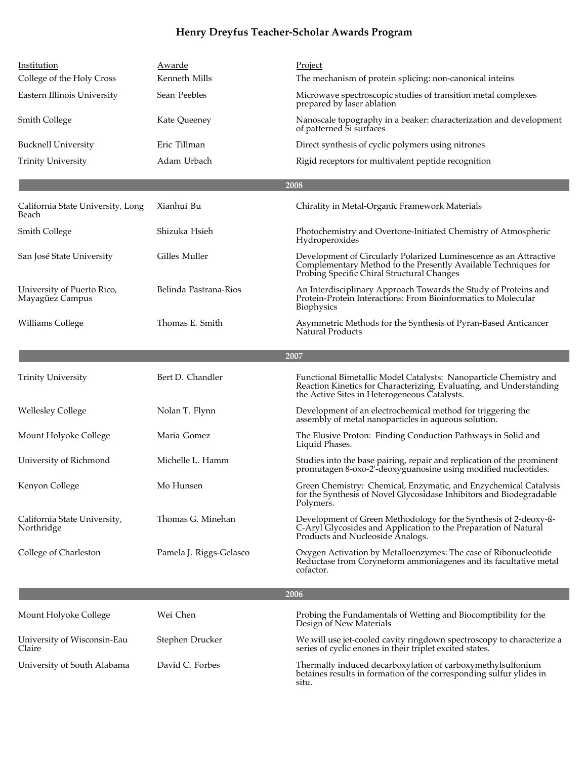| Institution                                   | Awarde                  | Project                                                                                                                                                                                  |  |
|-----------------------------------------------|-------------------------|------------------------------------------------------------------------------------------------------------------------------------------------------------------------------------------|--|
| College of the Holy Cross                     | Kenneth Mills           | The mechanism of protein splicing: non-canonical inteins                                                                                                                                 |  |
| Eastern Illinois University                   | Sean Peebles            | Microwave spectroscopic studies of transition metal complexes<br>prepared by laser ablation                                                                                              |  |
| <b>Smith College</b>                          | Kate Queeney            | Nanoscale topography in a beaker: characterization and development<br>of patterned Si surfaces                                                                                           |  |
| <b>Bucknell University</b>                    | Eric Tillman            | Direct synthesis of cyclic polymers using nitrones                                                                                                                                       |  |
| <b>Trinity University</b>                     | Adam Urbach             | Rigid receptors for multivalent peptide recognition                                                                                                                                      |  |
|                                               |                         | 2008                                                                                                                                                                                     |  |
| California State University, Long<br>Beach    | Xianhui Bu              | Chirality in Metal-Organic Framework Materials                                                                                                                                           |  |
| Smith College                                 | Shizuka Hsieh           | Photochemistry and Overtone-Initiated Chemistry of Atmospheric<br>Hydroperoxides                                                                                                         |  |
| San José State University                     | Gilles Muller           | Development of Circularly Polarized Luminescence as an Attractive<br>Complementary Method to the Presently Available Techniques for<br>Probing Specific Chiral Structural Changes        |  |
| University of Puerto Rico,<br>Mayagüez Campus | Belinda Pastrana-Rios   | An Interdisciplinary Approach Towards the Study of Proteins and<br>Protein-Protein Interactions: From Bioinformatics to Molecular<br>Biophysics                                          |  |
| Williams College                              | Thomas E. Smith         | Asymmetric Methods for the Synthesis of Pyran-Based Anticancer<br><b>Natural Products</b>                                                                                                |  |
|                                               |                         | 2007                                                                                                                                                                                     |  |
| <b>Trinity University</b>                     | Bert D. Chandler        | Functional Bimetallic Model Catalysts: Nanoparticle Chemistry and<br>Reaction Kinetics for Characterizing, Evaluating, and Understanding<br>the Active Sites in Heterogeneous Catalysts. |  |
| <b>Wellesley College</b>                      | Nolan T. Flynn          | Development of an electrochemical method for triggering the<br>assembly of metal nanoparticles in aqueous solution.                                                                      |  |
| Mount Holyoke College                         | Maria Gomez             | The Elusive Proton: Finding Conduction Pathways in Solid and<br>Liquid Phases.                                                                                                           |  |
| University of Richmond                        | Michelle L. Hamm        | Studies into the base pairing, repair and replication of the prominent<br>promutagen 8-oxo-2'-deoxyguanosine using modified nucleotides.                                                 |  |
| Kenyon College                                | Mo Hunsen               | Green Chemistry: Chemical, Enzymatic, and Enzychemical Catalysis<br>for the Synthesis of Novel Glycosidase Inhibitors and Biodegradable<br>Polymers.                                     |  |
| California State University,<br>Northridge    | Thomas G. Minehan       | Development of Green Methodology for the Synthesis of 2-deoxy-ß-<br>C-Aryl Glycosides and Application to the Preparation of Natural<br>Products and Nucleoside Analogs.                  |  |
| College of Charleston                         | Pamela J. Riggs-Gelasco | Oxygen Activation by Metalloenzymes: The case of Ribonucleotide<br>Reductase from Coryneform ammoniagenes and its facultative metal<br>cofactor.                                         |  |
| 2006                                          |                         |                                                                                                                                                                                          |  |
| Mount Holyoke College                         | Wei Chen                | Probing the Fundamentals of Wetting and Biocomptibility for the<br>Design of New Materials                                                                                               |  |
| University of Wisconsin-Eau<br>Claire         | Stephen Drucker         | We will use jet-cooled cavity ringdown spectroscopy to characterize a<br>series of cyclic enones in their triplet excited states.                                                        |  |
| University of South Alabama                   | David C. Forbes         | Thermally induced decarboxylation of carboxymethylsulfonium<br>betaines results in formation of the corresponding sulfur ylides in<br>situ.                                              |  |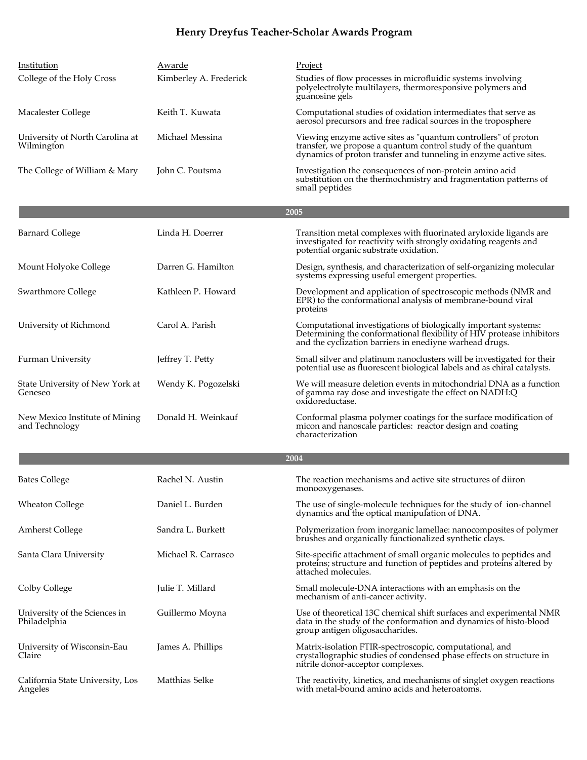| Institution<br>College of the Holy Cross         | Awarde<br>Kimberley A. Frederick | Project<br>Studies of flow processes in microfluidic systems involving<br>polyelectrolyte multilayers, thermoresponsive polymers and<br>guanosine gels                                              |
|--------------------------------------------------|----------------------------------|-----------------------------------------------------------------------------------------------------------------------------------------------------------------------------------------------------|
| Macalester College                               | Keith T. Kuwata                  | Computational studies of oxidation intermediates that serve as<br>aerosol precursors and free radical sources in the troposphere                                                                    |
| University of North Carolina at<br>Wilmington    | Michael Messina                  | Viewing enzyme active sites as "quantum controllers" of proton<br>transfer, we propose a quantum control study of the quantum<br>dynamics of proton transfer and tunneling in enzyme active sites.  |
| The College of William & Mary                    | John C. Poutsma                  | Investigation the consequences of non-protein amino acid<br>substitution on the thermochmistry and fragmentation patterns of<br>small peptides                                                      |
|                                                  |                                  | 2005                                                                                                                                                                                                |
| <b>Barnard College</b>                           | Linda H. Doerrer                 | Transition metal complexes with fluorinated aryloxide ligands are<br>investigated for reactivity with strongly oxidating reagents and<br>potential organic substrate oxidation.                     |
| Mount Holyoke College                            | Darren G. Hamilton               | Design, synthesis, and characterization of self-organizing molecular<br>systems expressing useful emergent properties.                                                                              |
| Swarthmore College                               | Kathleen P. Howard               | Development and application of spectroscopic methods (NMR and<br>EPR) to the conformational analysis of membrane-bound viral<br>proteins                                                            |
| University of Richmond                           | Carol A. Parish                  | Computational investigations of biologically important systems:<br>Determining the conformational flexibility of HIV protease inhibitors<br>and the cyclization barriers in enediyne warhead drugs. |
| <b>Furman University</b>                         | Jeffrey T. Petty                 | Small silver and platinum nanoclusters will be investigated for their<br>potential use as fluorescent biological labels and as chiral catalysts.                                                    |
| State University of New York at<br>Geneseo       | Wendy K. Pogozelski              | We will measure deletion events in mitochondrial DNA as a function<br>of gamma ray dose and investigate the effect on NADH:Q<br>oxidoreductase.                                                     |
| New Mexico Institute of Mining<br>and Technology | Donald H. Weinkauf               | Conformal plasma polymer coatings for the surface modification of<br>micon and nanoscale particles: reactor design and coating<br>characterization                                                  |
|                                                  |                                  | 2004                                                                                                                                                                                                |
| <b>Bates College</b>                             | Rachel N. Austin                 | The reaction mechanisms and active site structures of diiron<br>monooxygenases.                                                                                                                     |
| <b>Wheaton College</b>                           | Daniel L. Burden                 | The use of single-molecule techniques for the study of ion-channel<br>dynamics and the optical manipulation of DNA.                                                                                 |
| <b>Amherst College</b>                           | Sandra L. Burkett                | Polymerization from inorganic lamellae: nanocomposites of polymer<br>brushes and organically functionalized synthetic clays.                                                                        |
| Santa Clara University                           | Michael R. Carrasco              | Site-specific attachment of small organic molecules to peptides and<br>proteins; structure and function of peptides and proteins altered by<br>attached molecules.                                  |
| Colby College                                    | Julie T. Millard                 | Small molecule-DNA interactions with an emphasis on the<br>mechanism of anti-cancer activity.                                                                                                       |
| University of the Sciences in<br>Philadelphia    | Guillermo Moyna                  | Use of theoretical 13C chemical shift surfaces and experimental NMR<br>data in the study of the conformation and dynamics of histo-blood<br>group antigen oligosaccharides.                         |
| University of Wisconsin-Eau<br>Claire            | James A. Phillips                | Matrix-isolation FTIR-spectroscopic, computational, and<br>crystallographic studies of condensed phase effects on structure in<br>nitrile donor-acceptor complexes.                                 |
| California State University, Los<br>Angeles      | Matthias Selke                   | The reactivity, kinetics, and mechanisms of singlet oxygen reactions<br>with metal-bound amino acids and heteroatoms.                                                                               |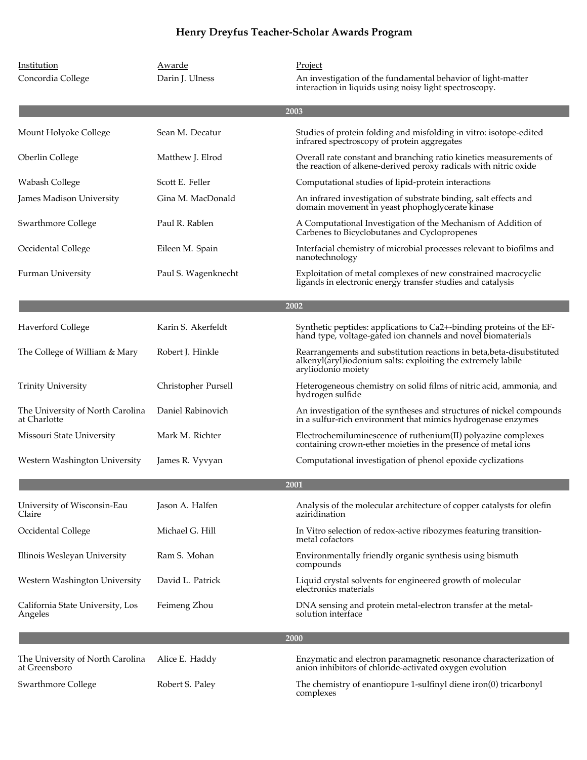| Institution<br>Concordia College                  | Awarde<br>Darin J. Ulness | Project<br>An investigation of the fundamental behavior of light-matter<br>interaction in liquids using noisy light spectroscopy.                           |
|---------------------------------------------------|---------------------------|-------------------------------------------------------------------------------------------------------------------------------------------------------------|
|                                                   |                           | 2003                                                                                                                                                        |
| Mount Holyoke College                             | Sean M. Decatur           | Studies of protein folding and misfolding in vitro: isotope-edited<br>infrared spectroscopy of protein aggregates                                           |
| Oberlin College                                   | Matthew J. Elrod          | Overall rate constant and branching ratio kinetics measurements of<br>the reaction of alkene-derived peroxy radicals with nitric oxide                      |
| Wabash College                                    | Scott E. Feller           | Computational studies of lipid-protein interactions                                                                                                         |
| James Madison University                          | Gina M. MacDonald         | An infrared investigation of substrate binding, salt effects and<br>domain movement in yeast phophoglycerate kinase                                         |
| Swarthmore College                                | Paul R. Rablen            | A Computational Investigation of the Mechanism of Addition of<br>Carbenes to Bicyclobutanes and Cyclopropenes                                               |
| Occidental College                                | Eileen M. Spain           | Interfacial chemistry of microbial processes relevant to biofilms and<br>nanotechnology                                                                     |
| <b>Furman University</b>                          | Paul S. Wagenknecht       | Exploitation of metal complexes of new constrained macrocyclic<br>ligands in electronic energy transfer studies and catalysis                               |
|                                                   |                           | 2002                                                                                                                                                        |
| <b>Haverford College</b>                          | Karin S. Akerfeldt        | Synthetic peptides: applications to Ca2+-binding proteins of the EF-<br>hand type, voltage-gated ion channels and novel biomaterials                        |
| The College of William & Mary                     | Robert J. Hinkle          | Rearrangements and substitution reactions in beta, beta-disubstituted<br>alkenyl(aryl)iodonium salts: exploiting the extremely labile<br>aryliodonio moiety |
| <b>Trinity University</b>                         | Christopher Pursell       | Heterogeneous chemistry on solid films of nitric acid, ammonia, and<br>hydrogen sulfide                                                                     |
| The University of North Carolina<br>at Charlotte  | Daniel Rabinovich         | An investigation of the syntheses and structures of nickel compounds<br>in a sulfur-rich environment that mimics hydrogenase enzymes                        |
| Missouri State University                         | Mark M. Richter           | Electrochemiluminescence of ruthenium(II) polyazine complexes<br>containing crown-ether moieties in the presence of metal ions                              |
| Western Washington University                     | James R. Vyvyan           | Computational investigation of phenol epoxide cyclizations                                                                                                  |
|                                                   |                           | 2001                                                                                                                                                        |
| University of Wisconsin-Eau<br>Claire             | Jason A. Halfen           | Analysis of the molecular architecture of copper catalysts for olefin<br>aziridination                                                                      |
| Occidental College                                | Michael G. Hill           | In Vitro selection of redox-active ribozymes featuring transition-<br>metal cofactors                                                                       |
| Illinois Wesleyan University                      | Ram S. Mohan              | Environmentally friendly organic synthesis using bismuth<br>compounds                                                                                       |
| Western Washington University                     | David L. Patrick          | Liquid crystal solvents for engineered growth of molecular<br>electronics materials                                                                         |
| California State University, Los<br>Angeles       | Feimeng Zhou              | DNA sensing and protein metal-electron transfer at the metal-<br>solution interface                                                                         |
|                                                   |                           | 2000                                                                                                                                                        |
| The University of North Carolina<br>at Greensboro | Alice E. Haddy            | Enzymatic and electron paramagnetic resonance characterization of<br>anion inhibitors of chloride-activated oxygen evolution                                |
| Swarthmore College                                | Robert S. Paley           | The chemistry of enantiopure 1-sulfinyl diene iron(0) tricarbonyl<br>complexes                                                                              |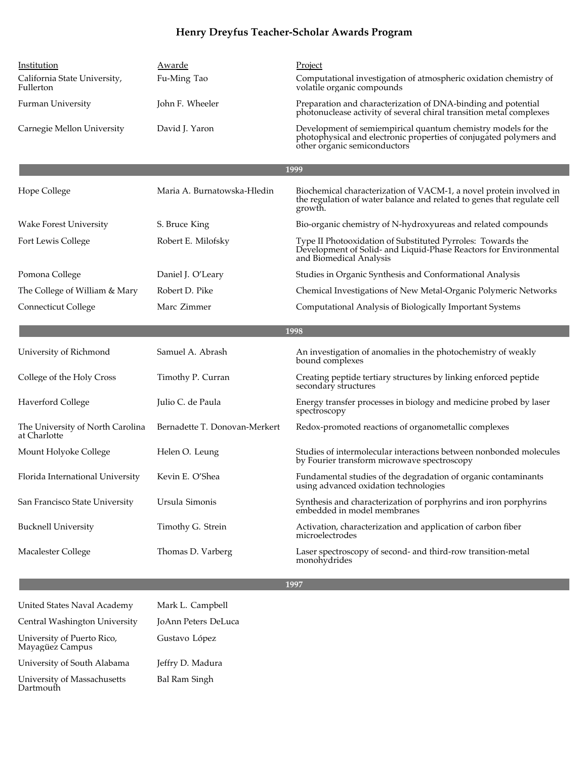| Institution<br>California State University,<br>Fullerton<br><b>Furman University</b><br>Carnegie Mellon University | Awarde<br>Fu-Ming Tao<br>John F. Wheeler<br>David J. Yaron | Project<br>Computational investigation of atmospheric oxidation chemistry of<br>volatile organic compounds<br>Preparation and characterization of DNA-binding and potential<br>photonuclease activity of several chiral transition metal complexes<br>Development of semiempirical quantum chemistry models for the<br>photophysical and electronic properties of conjugated polymers and<br>other organic semiconductors |
|--------------------------------------------------------------------------------------------------------------------|------------------------------------------------------------|---------------------------------------------------------------------------------------------------------------------------------------------------------------------------------------------------------------------------------------------------------------------------------------------------------------------------------------------------------------------------------------------------------------------------|
|                                                                                                                    |                                                            | 1999                                                                                                                                                                                                                                                                                                                                                                                                                      |
|                                                                                                                    | Maria A. Burnatowska-Hledin                                |                                                                                                                                                                                                                                                                                                                                                                                                                           |
| Hope College                                                                                                       |                                                            | Biochemical characterization of VACM-1, a novel protein involved in<br>the regulation of water balance and related to genes that regulate cell<br>growth.                                                                                                                                                                                                                                                                 |
| <b>Wake Forest University</b>                                                                                      | S. Bruce King                                              | Bio-organic chemistry of N-hydroxyureas and related compounds                                                                                                                                                                                                                                                                                                                                                             |
| Fort Lewis College                                                                                                 | Robert E. Milofsky                                         | Type II Photooxidation of Substituted Pyrroles: Towards the<br>Development of Solid- and Liquid-Phase Reactors for Environmental<br>and Biomedical Analysis                                                                                                                                                                                                                                                               |
| Pomona College                                                                                                     | Daniel J. O'Leary                                          | Studies in Organic Synthesis and Conformational Analysis                                                                                                                                                                                                                                                                                                                                                                  |
| The College of William & Mary                                                                                      | Robert D. Pike                                             | Chemical Investigations of New Metal-Organic Polymeric Networks                                                                                                                                                                                                                                                                                                                                                           |
| Connecticut College                                                                                                | Marc Zimmer                                                | Computational Analysis of Biologically Important Systems                                                                                                                                                                                                                                                                                                                                                                  |
|                                                                                                                    |                                                            | 1998                                                                                                                                                                                                                                                                                                                                                                                                                      |
| University of Richmond                                                                                             | Samuel A. Abrash                                           | An investigation of anomalies in the photochemistry of weakly<br>bound complexes                                                                                                                                                                                                                                                                                                                                          |
| College of the Holy Cross                                                                                          | Timothy P. Curran                                          | Creating peptide tertiary structures by linking enforced peptide<br>secondary structures                                                                                                                                                                                                                                                                                                                                  |
| <b>Haverford College</b>                                                                                           | Julio C. de Paula                                          | Energy transfer processes in biology and medicine probed by laser<br>spectroscopy                                                                                                                                                                                                                                                                                                                                         |
| The University of North Carolina<br>at Charlotte                                                                   | Bernadette T. Donovan-Merkert                              | Redox-promoted reactions of organometallic complexes                                                                                                                                                                                                                                                                                                                                                                      |
| Mount Holyoke College                                                                                              | Helen O. Leung                                             | Studies of intermolecular interactions between nonbonded molecules<br>by Fourier transform microwave spectroscopy                                                                                                                                                                                                                                                                                                         |
| Florida International University                                                                                   | Kevin E. O'Shea                                            | Fundamental studies of the degradation of organic contaminants<br>using advanced oxidation technologies                                                                                                                                                                                                                                                                                                                   |
| San Francisco State University                                                                                     | Ursula Simonis                                             | Synthesis and characterization of porphyrins and iron porphyrins<br>embedded in model membranes                                                                                                                                                                                                                                                                                                                           |
| <b>Bucknell University</b>                                                                                         | Timothy G. Strein                                          | Activation, characterization and application of carbon fiber<br>microelectrodes                                                                                                                                                                                                                                                                                                                                           |
| Macalester College                                                                                                 | Thomas D. Varberg                                          | Laser spectroscopy of second- and third-row transition-metal<br>monohydrides                                                                                                                                                                                                                                                                                                                                              |

**1997**

| United States Naval Academy                   | Mark L. Campbell    |
|-----------------------------------------------|---------------------|
| Central Washington University                 | JoAnn Peters DeLuca |
| University of Puerto Rico,<br>Mayagüez Campus | Gustavo López       |
| University of South Alabama                   | Jeffry D. Madura    |
| University of Massachusetts<br>Dartmouth      | Bal Ram Singh       |